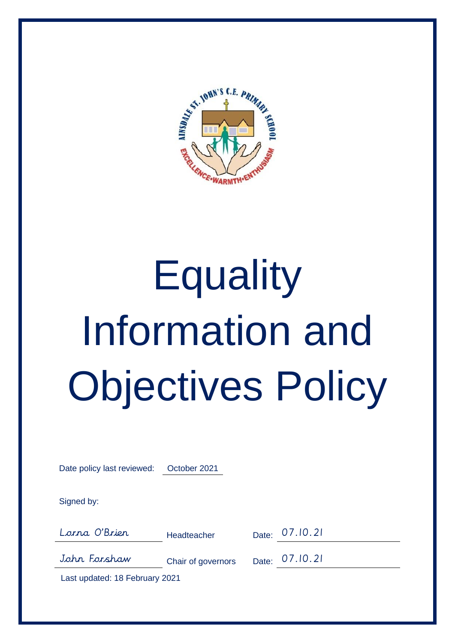

# **Equality** Information and Objectives Policy

| Date policy last reviewed: | October 2021       |                |
|----------------------------|--------------------|----------------|
| Signed by:                 |                    |                |
| Lorna O'Brier              | Headteacher        | Date: 07.10.21 |
| John Forshaw               | Chair of governors | Date: 07.10.21 |

Last updated: 18 February 2021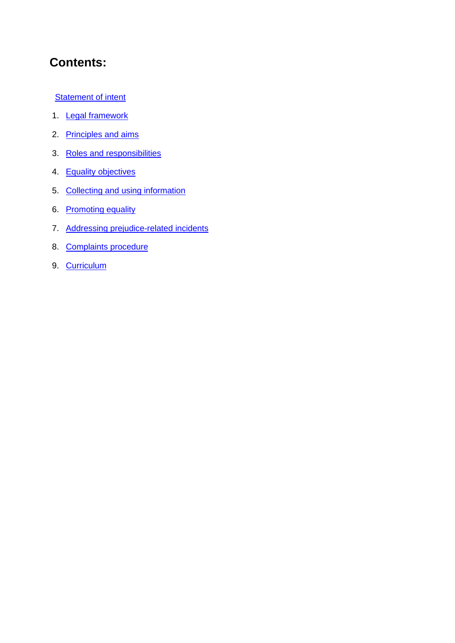# **Contents:**

**Statement of intent** 

- 1. Legal framework
- 2. Principles and aims
- 3. Roles and responsibilities
- 4. Equality objectives
- 5. Collecting and using information
- 6. Promoting equality
- 7. Addressing prejudice-related incidents
- 8. Complaints procedure
- 9. Curriculum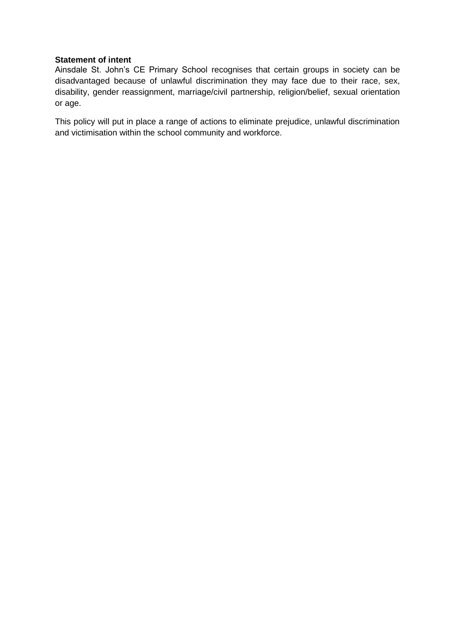#### **Statement of intent**

Ainsdale St. John's CE Primary School recognises that certain groups in society can be disadvantaged because of unlawful discrimination they may face due to their race, sex, disability, gender reassignment, marriage/civil partnership, religion/belief, sexual orientation or age.

This policy will put in place a range of actions to eliminate prejudice, unlawful discrimination and victimisation within the school community and workforce.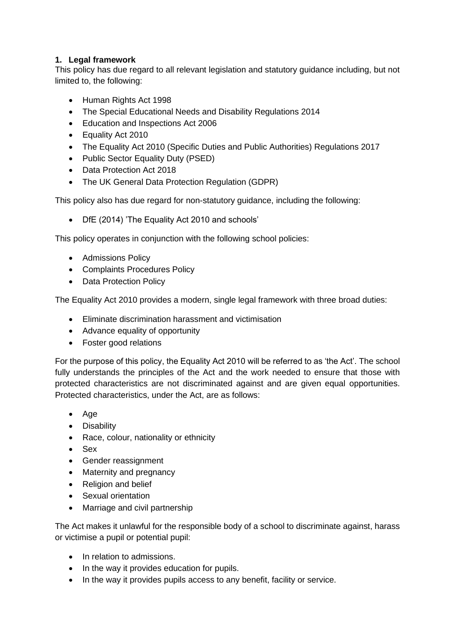# **1. Legal framework**

This policy has due regard to all relevant legislation and statutory guidance including, but not limited to, the following:

- Human Rights Act 1998
- The Special Educational Needs and Disability Regulations 2014
- Education and Inspections Act 2006
- Equality Act 2010
- The Equality Act 2010 (Specific Duties and Public Authorities) Regulations 2017
- Public Sector Equality Duty (PSED)
- Data Protection Act 2018
- The UK General Data Protection Regulation (GDPR)

This policy also has due regard for non-statutory guidance, including the following:

• DfE (2014) 'The Equality Act 2010 and schools'

This policy operates in conjunction with the following school policies:

- Admissions Policy
- Complaints Procedures Policy
- Data Protection Policy

The Equality Act 2010 provides a modern, single legal framework with three broad duties:

- Eliminate discrimination harassment and victimisation
- Advance equality of opportunity
- Foster good relations

For the purpose of this policy, the Equality Act 2010 will be referred to as 'the Act'. The school fully understands the principles of the Act and the work needed to ensure that those with protected characteristics are not discriminated against and are given equal opportunities. Protected characteristics, under the Act, are as follows:

- Age
- Disability
- Race, colour, nationality or ethnicity
- Sex
- Gender reassignment
- Maternity and pregnancy
- Religion and belief
- Sexual orientation
- Marriage and civil partnership

The Act makes it unlawful for the responsible body of a school to discriminate against, harass or victimise a pupil or potential pupil:

- In relation to admissions.
- In the way it provides education for pupils.
- In the way it provides pupils access to any benefit, facility or service.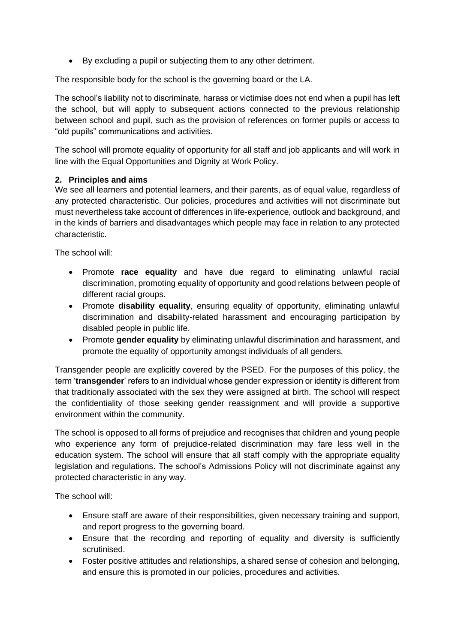• By excluding a pupil or subjecting them to any other detriment.

The responsible body for the school is the governing board or the LA.

The school's liability not to discriminate, harass or victimise does not end when a pupil has left the school, but will apply to subsequent actions connected to the previous relationship between school and pupil, such as the provision of references on former pupils or access to "old pupils" communications and activities.

The school will promote equality of opportunity for all staff and job applicants and will work in line with the Equal Opportunities and Dignity at Work Policy.

#### **2. Principles and aims**

We see all learners and potential learners, and their parents, as of equal value, regardless of any protected characteristic. Our policies, procedures and activities will not discriminate but must nevertheless take account of differences in life-experience, outlook and background, and in the kinds of barriers and disadvantages which people may face in relation to any protected characteristic.

The school will:

- Promote **race equality** and have due regard to eliminating unlawful racial discrimination, promoting equality of opportunity and good relations between people of different racial groups.
- Promote **disability equality**, ensuring equality of opportunity, eliminating unlawful discrimination and disability-related harassment and encouraging participation by disabled people in public life.
- Promote **gender equality** by eliminating unlawful discrimination and harassment, and promote the equality of opportunity amongst individuals of all genders.

Transgender people are explicitly covered by the PSED. For the purposes of this policy, the term '**transgender**' refers to an individual whose gender expression or identity is different from that traditionally associated with the sex they were assigned at birth. The school will respect the confidentiality of those seeking gender reassignment and will provide a supportive environment within the community.

The school is opposed to all forms of prejudice and recognises that children and young people who experience any form of prejudice-related discrimination may fare less well in the education system. The school will ensure that all staff comply with the appropriate equality legislation and regulations. The school's Admissions Policy will not discriminate against any protected characteristic in any way.

The school will:

- Ensure staff are aware of their responsibilities, given necessary training and support, and report progress to the governing board.
- Ensure that the recording and reporting of equality and diversity is sufficiently scrutinised.
- Foster positive attitudes and relationships, a shared sense of cohesion and belonging, and ensure this is promoted in our policies, procedures and activities.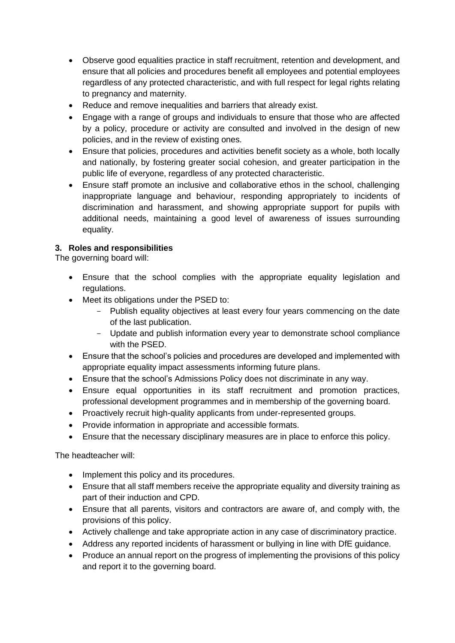- Observe good equalities practice in staff recruitment, retention and development, and ensure that all policies and procedures benefit all employees and potential employees regardless of any protected characteristic, and with full respect for legal rights relating to pregnancy and maternity.
- Reduce and remove inequalities and barriers that already exist.
- Engage with a range of groups and individuals to ensure that those who are affected by a policy, procedure or activity are consulted and involved in the design of new policies, and in the review of existing ones.
- Ensure that policies, procedures and activities benefit society as a whole, both locally and nationally, by fostering greater social cohesion, and greater participation in the public life of everyone, regardless of any protected characteristic.
- Ensure staff promote an inclusive and collaborative ethos in the school, challenging inappropriate language and behaviour, responding appropriately to incidents of discrimination and harassment, and showing appropriate support for pupils with additional needs, maintaining a good level of awareness of issues surrounding equality.

# **3. Roles and responsibilities**

The governing board will:

- Ensure that the school complies with the appropriate equality legislation and regulations.
- Meet its obligations under the PSED to:
	- Publish equality objectives at least every four years commencing on the date of the last publication.
	- Update and publish information every year to demonstrate school compliance with the PSED.
- Ensure that the school's policies and procedures are developed and implemented with appropriate equality impact assessments informing future plans.
- Ensure that the school's Admissions Policy does not discriminate in any way.
- Ensure equal opportunities in its staff recruitment and promotion practices, professional development programmes and in membership of the governing board.
- Proactively recruit high-quality applicants from under-represented groups.
- Provide information in appropriate and accessible formats.
- Ensure that the necessary disciplinary measures are in place to enforce this policy.

The headteacher will:

- Implement this policy and its procedures.
- Ensure that all staff members receive the appropriate equality and diversity training as part of their induction and CPD.
- Ensure that all parents, visitors and contractors are aware of, and comply with, the provisions of this policy.
- Actively challenge and take appropriate action in any case of discriminatory practice.
- Address any reported incidents of harassment or bullying in line with DfE guidance.
- Produce an annual report on the progress of implementing the provisions of this policy and report it to the governing board.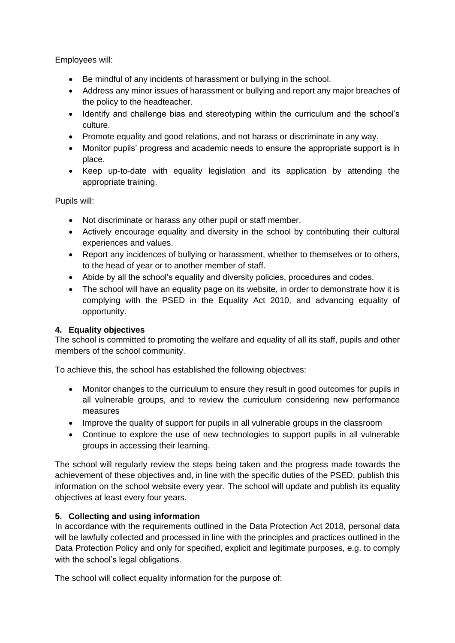Employees will:

- Be mindful of any incidents of harassment or bullying in the school.
- Address any minor issues of harassment or bullying and report any major breaches of the policy to the headteacher.
- Identify and challenge bias and stereotyping within the curriculum and the school's culture.
- Promote equality and good relations, and not harass or discriminate in any way.
- Monitor pupils' progress and academic needs to ensure the appropriate support is in place.
- Keep up-to-date with equality legislation and its application by attending the appropriate training.

Pupils will:

- Not discriminate or harass any other pupil or staff member.
- Actively encourage equality and diversity in the school by contributing their cultural experiences and values.
- Report any incidences of bullying or harassment, whether to themselves or to others, to the head of year or to another member of staff.
- Abide by all the school's equality and diversity policies, procedures and codes.
- The school will have an equality page on its website, in order to demonstrate how it is complying with the PSED in the Equality Act 2010, and advancing equality of opportunity.

# **4. Equality objectives**

The school is committed to promoting the welfare and equality of all its staff, pupils and other members of the school community.

To achieve this, the school has established the following objectives:

- Monitor changes to the curriculum to ensure they result in good outcomes for pupils in all vulnerable groups, and to review the curriculum considering new performance measures
- Improve the quality of support for pupils in all vulnerable groups in the classroom
- Continue to explore the use of new technologies to support pupils in all vulnerable groups in accessing their learning.

The school will regularly review the steps being taken and the progress made towards the achievement of these objectives and, in line with the specific duties of the PSED, publish this information on the school website every year. The school will update and publish its equality objectives at least every four years.

# **5. Collecting and using information**

In accordance with the requirements outlined in the Data Protection Act 2018, personal data will be lawfully collected and processed in line with the principles and practices outlined in the Data Protection Policy and only for specified, explicit and legitimate purposes, e.g. to comply with the school's legal obligations.

The school will collect equality information for the purpose of: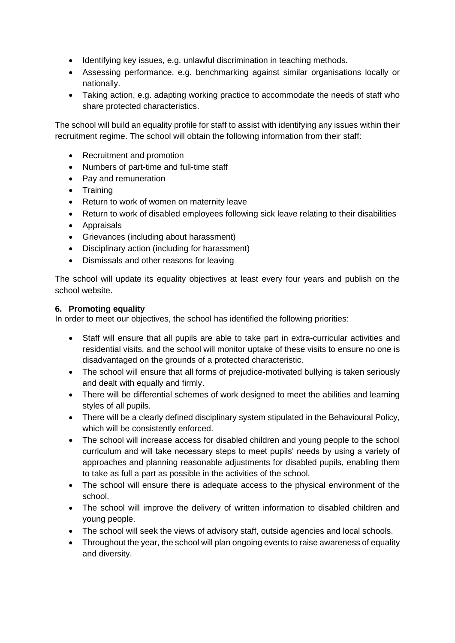- Identifying key issues, e.g. unlawful discrimination in teaching methods.
- Assessing performance, e.g. benchmarking against similar organisations locally or nationally.
- Taking action, e.g. adapting working practice to accommodate the needs of staff who share protected characteristics.

The school will build an equality profile for staff to assist with identifying any issues within their recruitment regime. The school will obtain the following information from their staff:

- Recruitment and promotion
- Numbers of part-time and full-time staff
- Pay and remuneration
- Training
- Return to work of women on maternity leave
- Return to work of disabled employees following sick leave relating to their disabilities
- Appraisals
- Grievances (including about harassment)
- Disciplinary action (including for harassment)
- Dismissals and other reasons for leaving

The school will update its equality objectives at least every four years and publish on the school website.

#### **6. Promoting equality**

In order to meet our objectives, the school has identified the following priorities:

- Staff will ensure that all pupils are able to take part in extra-curricular activities and residential visits, and the school will monitor uptake of these visits to ensure no one is disadvantaged on the grounds of a protected characteristic.
- The school will ensure that all forms of prejudice-motivated bullying is taken seriously and dealt with equally and firmly.
- There will be differential schemes of work designed to meet the abilities and learning styles of all pupils.
- There will be a clearly defined disciplinary system stipulated in the Behavioural Policy, which will be consistently enforced.
- The school will increase access for disabled children and young people to the school curriculum and will take necessary steps to meet pupils' needs by using a variety of approaches and planning reasonable adjustments for disabled pupils, enabling them to take as full a part as possible in the activities of the school.
- The school will ensure there is adequate access to the physical environment of the school.
- The school will improve the delivery of written information to disabled children and young people.
- The school will seek the views of advisory staff, outside agencies and local schools.
- Throughout the year, the school will plan ongoing events to raise awareness of equality and diversity.